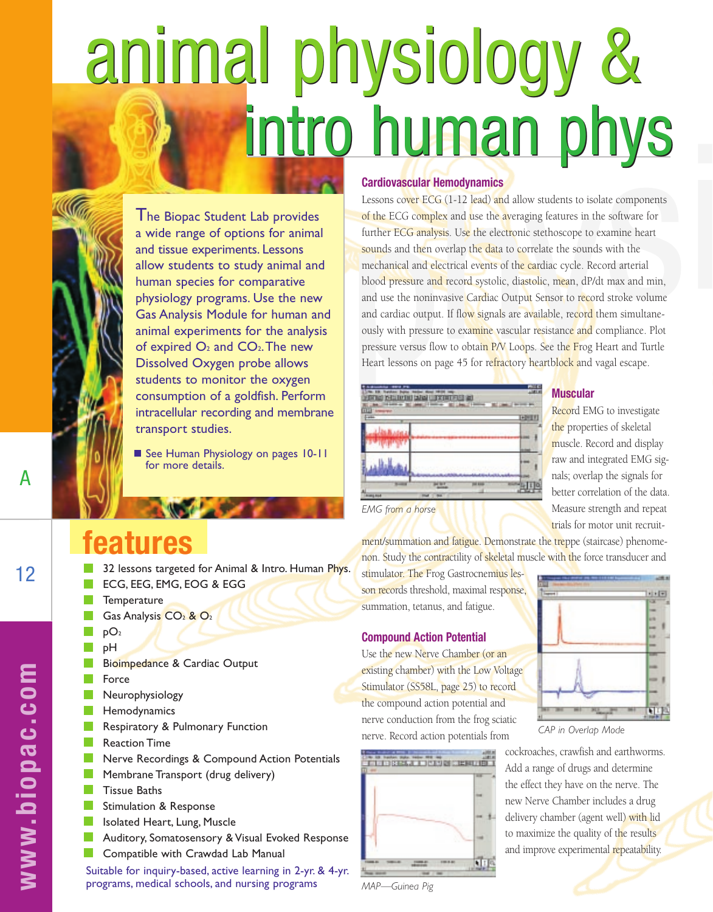# animal physiology & intro human phys



The Biopac Student Lab provides a wide range of options for animal and tissue experiments. Lessons allow students to study animal and human species for comparative physiology programs. Use the new Gas Analysis Module for human and animal experiments for the analysis of expired  $O_2$  and  $CO_2$ . The new Dissolved Oxygen probe allows students to monitor the oxygen consumption of a goldfish. Perform intracellular recording and membrane transport studies.

See Human Physiology on pages 10-11 for more details.

## **features**

- 32 lessons targeted for Animal & Intro. Human Phys. ECG, EEG, EMG, EOG & EGG
- **Temperature**
- Gas Analysis  $CO<sub>2</sub>$  &  $O<sub>2</sub>$
- pO2
- pH
- Bioimpedance & Cardiac Output
- Force
- $\mathbb{R}^n$ Neurophysiology
- Hemodynamics  $\sim$
- Respiratory & Pulmonary Function **Tale**
- **College** Reaction Time
- Nerve Recordings & Compound Action Potentials
- **Tale** Membrane Transport (drug delivery)
- $\blacksquare$  Tissue Baths
- Stimulation & Response
- $\sim$ Isolated Heart, Lung, Muscle
- Auditory, Somatosensory & Visual Evoked Response
- **COL** Compatible with Crawdad Lab Manual

Suitable for inquiry-based, active learning in 2-yr. & 4-yr. programs, medical schools, and nursing programs

#### **Cardiovascular Hemodynamics**

Lessons cover ECG (1-12 lead) and allow students to isolate components of the ECG complex and use the averaging features in the software for further ECG analysis. Use the electronic stethoscope to examine heart sounds and then overlap the data to correlate the sounds with the mechanical and electrical events of the cardiac cycle. Record arterial blood pressure and record systolic, diastolic, mean, dP/dt max and min, and use the noninvasive Cardiac Output Sensor to record stroke volume and cardiac output. If flow signals are available, record them simultaneously with pressure to examine vascular resistance and compliance. Plot pressure versus flow to obtain P/V Loops. See the Frog Heart and Turtle Heart lessons on page 45 for refractory heartblock and vagal escape.

| <b>ISTORIES</b> | ■ 文田 戸田 宮 |            |  |
|-----------------|-----------|------------|--|
|                 |           |            |  |
|                 |           |            |  |
|                 |           |            |  |
|                 |           |            |  |
|                 |           | <b>MEN</b> |  |
|                 |           |            |  |

#### **Muscular**

Record EMG to investigate the properties of skeletal muscle. Record and display raw and integrated EMG signals; overlap the signals for better correlation of the data. Measure strength and repeat trials for motor unit recruit-

ment/summation and fatigue. Demonstrate the treppe (staircase) phenomenon. Study the contractility of skeletal muscle with the force transducer and

stimulator. The Frog Gastrocnemius lesson records threshold, maximal response, summation, tetanus, and fatigue.

### **Compound Action Potential**

Use the new Nerve Chamber (or an existing chamber) with the Low Voltage Stimulator (SS58L, page 25) to record the compound action potential and nerve conduction from the frog sciatic nerve. Record action potentials from



**FII** 

*CAP in Overlap Mode*

cockroaches, crawfish and earthworms. Add a range of drugs and determine the effect they have on the nerve. The new Nerve Chamber includes a drug delivery chamber (agent well) with lid to maximize the quality of the results and improve experimental repeatability.

12